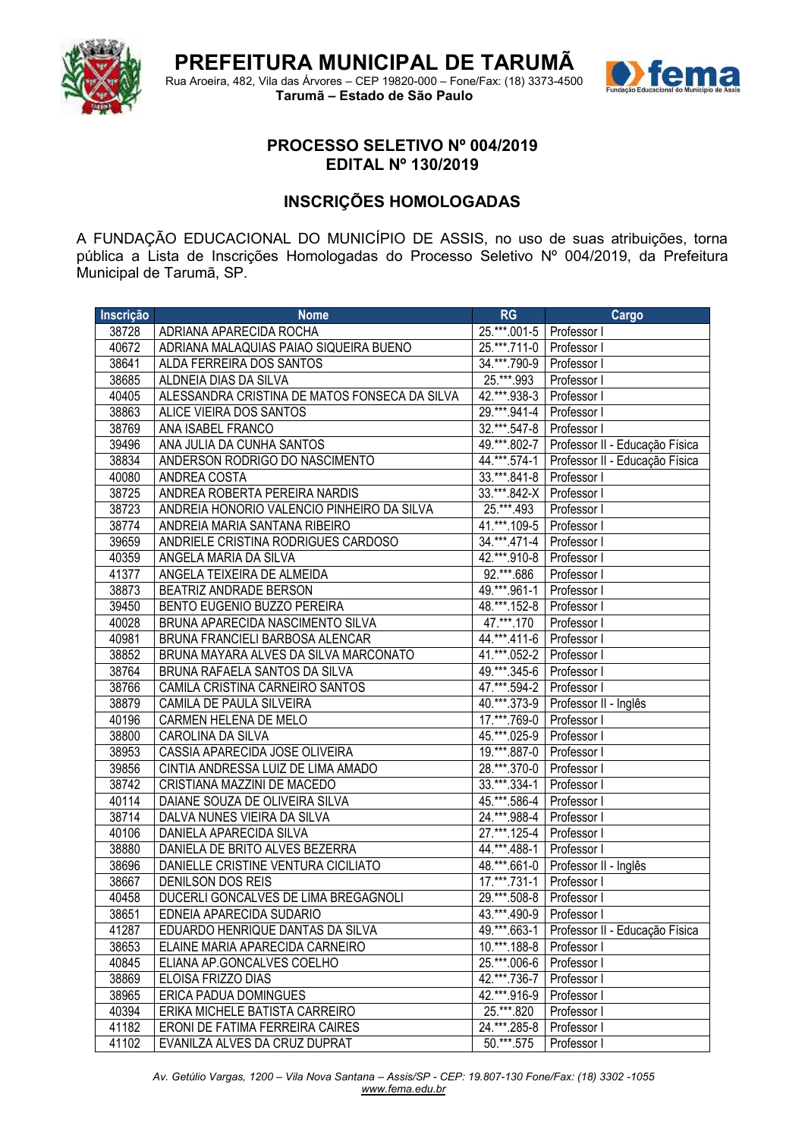

Rua Aroeira, 482, Vila das Árvores – CEP 19820-000 – Fone/Fax: (18) 3373-4500 **Tarumã – Estado de São Paulo**



## **PROCESSO SELETIVO Nº 004/2019 EDITAL Nº 130/2019**

## **INSCRIÇÕES HOMOLOGADAS**

A FUNDAÇÃO EDUCACIONAL DO MUNICÍPIO DE ASSIS, no uso de suas atribuições, torna pública a Lista de Inscrições Homologadas do Processo Seletivo Nº 004/2019, da Prefeitura Municipal de Tarumã, SP.

| Inscrição | <b>Nome</b>                                   | RG                         | Cargo                          |
|-----------|-----------------------------------------------|----------------------------|--------------------------------|
| 38728     | ADRIANA APARECIDA ROCHA                       | 25.***.001-5   Professor I |                                |
| 40672     | ADRIANA MALAQUIAS PAIAO SIQUEIRA BUENO        | 25.***.711-0   Professor I |                                |
| 38641     | ALDA FERREIRA DOS SANTOS                      | 34.***.790-9               | Professor I                    |
| 38685     | ALDNEIA DIAS DA SILVA                         | 25.***.993                 | Professor I                    |
| 40405     | ALESSANDRA CRISTINA DE MATOS FONSECA DA SILVA | 42.***.938-3               | Professor I                    |
| 38863     | ALICE VIEIRA DOS SANTOS                       | 29. *** .941-4             | Professor I                    |
| 38769     | ANA ISABEL FRANCO                             | 32.***.547-8               | Professor I                    |
| 39496     | ANA JULIA DA CUNHA SANTOS                     | 49.***.802-7               | Professor II - Educação Física |
| 38834     | ANDERSON RODRIGO DO NASCIMENTO                | 44.***.574-1               | Professor II - Educação Física |
| 40080     | ANDREA COSTA                                  | 33.***.841-8   Professor I |                                |
| 38725     | ANDREA ROBERTA PEREIRA NARDIS                 | 33.***.842-X   Professor I |                                |
| 38723     | ANDREIA HONORIO VALENCIO PINHEIRO DA SILVA    | 25.***.493                 | Professor I                    |
| 38774     | ANDREIA MARIA SANTANA RIBEIRO                 | 41.***.109-5               | Professor I                    |
| 39659     | ANDRIELE CRISTINA RODRIGUES CARDOSO           | 34.***.471-4               | Professor I                    |
| 40359     | ANGELA MARIA DA SILVA                         | 42.***.910-8               | Professor I                    |
| 41377     | ANGELA TEIXEIRA DE ALMEIDA                    | $92.***.686$               | Professor I                    |
| 38873     | <b>BEATRIZ ANDRADE BERSON</b>                 | 49.***.961-1               | Professor I                    |
| 39450     | BENTO EUGENIO BUZZO PEREIRA                   | 48.***.152-8   Professor I |                                |
| 40028     | BRUNA APARECIDA NASCIMENTO SILVA              | 47. *** 170                | Professor I                    |
| 40981     | BRUNA FRANCIELI BARBOSA ALENCAR               | 44.***.411-6               | Professor I                    |
| 38852     | BRUNA MAYARA ALVES DA SILVA MARCONATO         | 41.***.052-2               | Professor I                    |
| 38764     | BRUNA RAFAELA SANTOS DA SILVA                 | 49.***.345-6               | Professor I                    |
| 38766     | CAMILA CRISTINA CARNEIRO SANTOS               | $47.***.594-2$             | Professor I                    |
| 38879     | CAMILA DE PAULA SILVEIRA                      | 40.***.373-9               | Professor II - Inglês          |
| 40196     | CARMEN HELENA DE MELO                         | 17.***.769-0               | Professor I                    |
| 38800     | CAROLINA DA SILVA                             | 45.***.025-9               | Professor I                    |
| 38953     | CASSIA APARECIDA JOSE OLIVEIRA                | 19.***.887-0               | Professor I                    |
| 39856     | CINTIA ANDRESSA LUIZ DE LIMA AMADO            | 28. *** . 370-0            | Professor I                    |
| 38742     | CRISTIANA MAZZINI DE MACEDO                   | $33.^{***}$ . 334-1        | Professor I                    |
| 40114     | DAIANE SOUZA DE OLIVEIRA SILVA                | 45.***.586-4               | Professor I                    |
| 38714     | DALVA NUNES VIEIRA DA SILVA                   | 24. *** .988-4             | Professor I                    |
| 40106     | DANIELA APARECIDA SILVA                       | 27.***.125-4               | Professor I                    |
| 38880     | DANIELA DE BRITO ALVES BEZERRA                | 44. *** 488-1              | Professor I                    |
| 38696     | DANIELLE CRISTINE VENTURA CICILIATO           | $48.^{***}$ .661-0         | Professor II - Inglês          |
| 38667     | DENILSON DOS REIS                             | 17.***.731-1               | Professor I                    |
| 40458     | DUCERLI GONCALVES DE LIMA BREGAGNOLI          | 29. *** .508-8             | Professor I                    |
| 38651     | EDNEIA APARECIDA SUDARIO                      | 43.***.490-9   Professor I |                                |
| 41287     | EDUARDO HENRIQUE DANTAS DA SILVA              | $49.***.663-1$             | Professor II - Educação Física |
| 38653     | ELAINE MARIA APARECIDA CARNEIRO               | 10.***.188-8               | Professor I                    |
| 40845     | ELIANA AP.GONCALVES COELHO                    | 25.***.006-6               | Professor I                    |
| 38869     | ELOISA FRIZZO DIAS                            | 42.***.736-7               | Professor I                    |
| 38965     | ERICA PADUA DOMINGUES                         | 42.***.916-9               | Professor I                    |
| 40394     | ERIKA MICHELE BATISTA CARREIRO                | 25. *** .820               | Professor I                    |
| 41182     | ERONI DE FATIMA FERREIRA CAIRES               | 24.***.285-8               | Professor I                    |
| 41102     | EVANILZA ALVES DA CRUZ DUPRAT                 | 50.***.575                 | Professor I                    |

*Av. Getúlio Vargas, 1200 – Vila Nova Santana – Assis/SP - CEP: 19.807-130 Fone/Fax: (18) 3302 -1055 [www.fema.edu.br](http://www.fema.edu.br/)*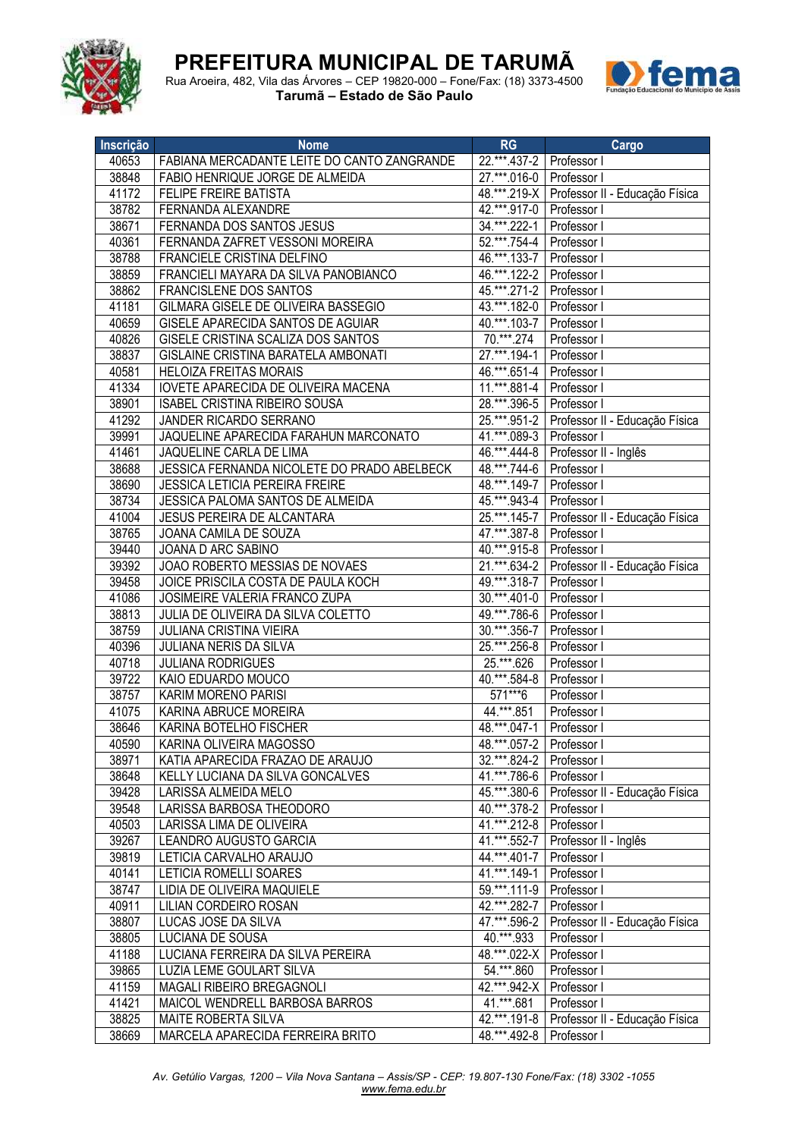



Rua Aroeira, 482, Vila das Árvores – CEP 19820-000 – Fone/Fax: (18) 3373-4500 **Tarumã – Estado de São Paulo**

| Inscrição | <b>Nome</b>                                 | <b>RG</b>                  | Cargo                                         |
|-----------|---------------------------------------------|----------------------------|-----------------------------------------------|
| 40653     | FABIANA MERCADANTE LEITE DO CANTO ZANGRANDE | $22.***$ . 437-2           | Professor I                                   |
| 38848     | FABIO HENRIQUE JORGE DE ALMEIDA             | 27.***.016-0               | Professor I                                   |
| 41172     | FELIPE FREIRE BATISTA                       | 48.***.219-X               | Professor II - Educação Física                |
| 38782     | FERNANDA ALEXANDRE                          | 42.***.917-0               | Professor I                                   |
| 38671     | FERNANDA DOS SANTOS JESUS                   | 34.***.222-1               | Professor                                     |
| 40361     | FERNANDA ZAFRET VESSONI MOREIRA             | $52.***.754-4$             | Professor I                                   |
| 38788     | FRANCIELE CRISTINA DELFINO                  | 46.***.133-7               | Professor I                                   |
| 38859     | FRANCIELI MAYARA DA SILVA PANOBIANCO        | 46.***.122-2               | Professor I                                   |
| 38862     | FRANCISLENE DOS SANTOS                      | 45.***.271-2               | Professor I                                   |
| 41181     | GILMARA GISELE DE OLIVEIRA BASSEGIO         | 43.***.182-0               | Professor I                                   |
| 40659     | GISELE APARECIDA SANTOS DE AGUIAR           | 40.***.103-7               | Professor I                                   |
| 40826     | GISELE CRISTINA SCALIZA DOS SANTOS          | $70^{***}$ .274            | Professor I                                   |
| 38837     | GISLAINE CRISTINA BARATELA AMBONATI         | $27.***.194-1$             | Professor I                                   |
| 40581     | <b>HELOIZA FREITAS MORAIS</b>               | 46.***.651-4               | Professor I                                   |
| 41334     | IOVETE APARECIDA DE OLIVEIRA MACENA         | 11.***.881-4               | Professor I                                   |
| 38901     | <b>ISABEL CRISTINA RIBEIRO SOUSA</b>        | 28.***.396-5               | Professor I                                   |
| 41292     | JANDER RICARDO SERRANO                      | $25.***.951-2$             | Professor II - Educação Física                |
| 39991     | JAQUELINE APARECIDA FARAHUN MARCONATO       | 41.***.089-3               | Professor I                                   |
| 41461     | JAQUELINE CARLA DE LIMA                     | 46. *** 444-8              | Professor II - Inglês                         |
| 38688     | JESSICA FERNANDA NICOLETE DO PRADO ABELBECK | 48.***.744-6               | Professor I                                   |
| 38690     | <b>JESSICA LETICIA PEREIRA FREIRE</b>       | 48.***.149-7               | Professor I                                   |
| 38734     | JESSICA PALOMA SANTOS DE ALMEIDA            | 45.***.943-4               | Professor I                                   |
| 41004     | JESUS PEREIRA DE ALCANTARA                  | $25.***.145-7$             | Professor II - Educação Física                |
| 38765     | JOANA CAMILA DE SOUZA                       | 47.***.387-8               | Professor I                                   |
| 39440     | JOANA D ARC SABINO                          | $40.***.915-8$             | Professor I                                   |
| 39392     | JOAO ROBERTO MESSIAS DE NOVAES              | 21.***.634-2               | Professor II - Educação Física                |
| 39458     | JOICE PRISCILA COSTA DE PAULA KOCH          | 49.***.318-7               | Professor I                                   |
| 41086     | JOSIMEIRE VALERIA FRANCO ZUPA               | $30.***.401-0$             | Professor I                                   |
| 38813     | JULIA DE OLIVEIRA DA SILVA COLETTO          | 49.***.786-6               | Professor I                                   |
| 38759     | JULIANA CRISTINA VIEIRA                     | $30.***.356-7$             | Professor I                                   |
| 40396     | JULIANA NERIS DA SILVA                      | $25.***.256-8$             | Professor I                                   |
| 40718     | <b>JULIANA RODRIGUES</b>                    | $25.***.626$               | Professor I                                   |
| 39722     | KAIO EDUARDO MOUCO                          | 40.***.584-8               | Professor I                                   |
| 38757     | KARIM MORENO PARISI                         | 571***6                    | Professor I                                   |
| 41075     | KARINA ABRUCE MOREIRA                       | 44.***.851                 | Professor I                                   |
| 38646     | KARINA BOTELHO FISCHER                      | 48.***.047-1               | Professor I                                   |
| 40590     | KARINA OLIVEIRA MAGOSSO                     | 48.***.057-2   Professor I |                                               |
| 38971     | KATIA APARECIDA FRAZAO DE ARAUJO            | 32.***.824-2   Professor I |                                               |
| 38648     | KELLY LUCIANA DA SILVA GONCALVES            | 41.***.786-6 Professor I   |                                               |
| 39428     | LARISSA ALMEIDA MELO                        | 45.***.380-6               | Professor II - Educação Física                |
| 39548     | LARISSA BARBOSA THEODORO                    | 40.***.378-2               | Professor I                                   |
| 40503     | LARISSA LIMA DE OLIVEIRA                    | $41.**.212-8$              | Professor I                                   |
| 39267     | LEANDRO AUGUSTO GARCIA                      | 41.***.552-7               | Professor II - Inglês                         |
| 39819     | LETICIA CARVALHO ARAUJO                     | 44.***.401-7               | Professor I                                   |
| 40141     | LETICIA ROMELLI SOARES                      | 41.***.149-1               | Professor I                                   |
| 38747     | LIDIA DE OLIVEIRA MAQUIELE                  | 59.***.111-9               | Professor I                                   |
| 40911     | LILIAN CORDEIRO ROSAN                       | 42.***.282-7               | Professor I                                   |
| 38807     | LUCAS JOSE DA SILVA                         | 47.***.596-2               | Professor II - Educação Física                |
| 38805     | LUCIANA DE SOUSA                            | 40. *** .933               | Professor I                                   |
| 41188     | LUCIANA FERREIRA DA SILVA PEREIRA           | 48.***.022-X               | Professor I                                   |
| 39865     | LUZIA LEME GOULART SILVA                    | 54. *** .860               | Professor I                                   |
| 41159     | MAGALI RIBEIRO BREGAGNOLI                   | 42.***.942-X               | Professor I                                   |
| 41421     | MAICOL WENDRELL BARBOSA BARROS              | 41. *** .681               | Professor I                                   |
| 38825     | MAITE ROBERTA SILVA                         |                            | 42.***.191-8   Professor II - Educação Física |
| 38669     | MARCELA APARECIDA FERREIRA BRITO            | 48.***.492-8   Professor I |                                               |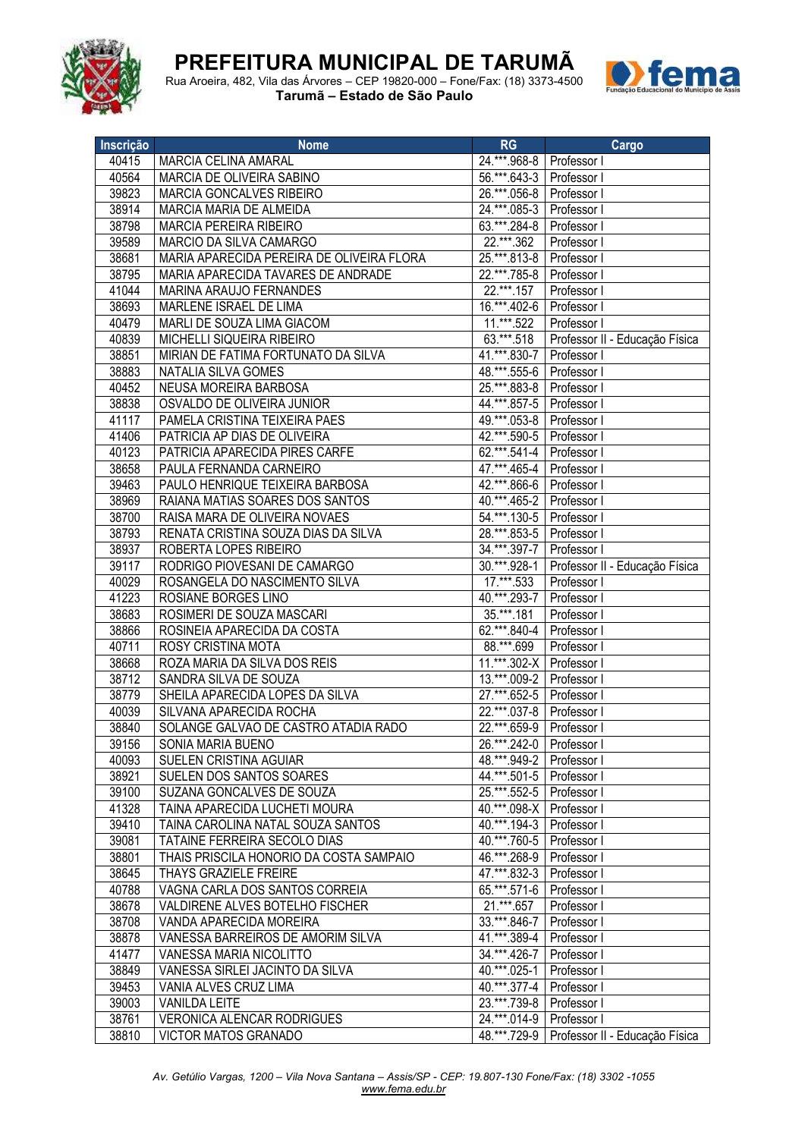



Rua Aroeira, 482, Vila das Árvores – CEP 19820-000 – Fone/Fax: (18) 3373-4500 **Tarumã – Estado de São Paulo**

| Inscrição      | <b>Nome</b>                                          | RG                              | Cargo<br>and the state of the state of the state of the state of the state of the state of the state of the state of th |
|----------------|------------------------------------------------------|---------------------------------|-------------------------------------------------------------------------------------------------------------------------|
| 40415          | MARCIA CELINA AMARAL                                 | 24.***.968-8   Professor I      |                                                                                                                         |
| 40564          | MARCIA DE OLIVEIRA SABINO                            | 56.***.643-3                    | Professor I                                                                                                             |
| 39823          | <b>MARCIA GONCALVES RIBEIRO</b>                      | 26.***.056-8                    | Professor I                                                                                                             |
| 38914          | MARCIA MARIA DE ALMEIDA                              | 24.***.085-3                    | Professor I                                                                                                             |
| 38798          | <b>MARCIA PEREIRA RIBEIRO</b>                        | 63.***.284-8                    | Professor I                                                                                                             |
| 39589          | MARCIO DA SILVA CAMARGO                              | 22.***.362                      | Professor I                                                                                                             |
| 38681          | MARIA APARECIDA PEREIRA DE OLIVEIRA FLORA            | 25.***.813-8                    | Professor I                                                                                                             |
| 38795          | MARIA APARECIDA TAVARES DE ANDRADE                   | 22.***.785-8                    | Professor I                                                                                                             |
| 41044          | MARINA ARAUJO FERNANDES                              | 22.***.157                      | Professor I                                                                                                             |
| 38693          | MARLENE ISRAEL DE LIMA                               | 16.***.402-6                    | Professor I                                                                                                             |
| 40479          | MARLI DE SOUZA LIMA GIACOM                           | 11.***.522                      | Professor I                                                                                                             |
| 40839          | MICHELLI SIQUEIRA RIBEIRO                            | 63.***.518                      | Professor II - Educação Física                                                                                          |
| 38851          | MIRIAN DE FATIMA FORTUNATO DA SILVA                  | 41.***.830-7                    | Professor I                                                                                                             |
| 38883          | NATALIA SILVA GOMES                                  | 48.***.555-6                    | Professor I                                                                                                             |
| 40452          | NEUSA MOREIRA BARBOSA                                | 25.***.883-8                    | Professor I                                                                                                             |
| 38838          | OSVALDO DE OLIVEIRA JUNIOR                           | 44.***.857-5                    | Professor I                                                                                                             |
| 41117          | PAMELA CRISTINA TEIXEIRA PAES                        | 49.***.053-8                    | Professor I                                                                                                             |
| 41406          | PATRICIA AP DIAS DE OLIVEIRA                         | 42.***.590-5                    | Professor I                                                                                                             |
| 40123          | PATRICIA APARECIDA PIRES CARFE                       | 62.***.541-4                    | Professor I                                                                                                             |
| 38658          | PAULA FERNANDA CARNEIRO                              | 47.***.465-4                    | Professor I                                                                                                             |
| 39463          | PAULO HENRIQUE TEIXEIRA BARBOSA                      | 42.***.866-6                    | Professor I                                                                                                             |
| 38969          | RAIANA MATIAS SOARES DOS SANTOS                      | 40.***.465-2                    | Professor I                                                                                                             |
| 38700          | RAISA MARA DE OLIVEIRA NOVAES                        | 54.***.130-5                    | Professor I                                                                                                             |
| 38793          | RENATA CRISTINA SOUZA DIAS DA SILVA                  | 28.***.853-5                    | Professor I                                                                                                             |
| 38937          | ROBERTA LOPES RIBEIRO                                | 34.***.397-7                    | Professor I                                                                                                             |
| 39117          | RODRIGO PIOVESANI DE CAMARGO                         | 30. ***. 928-1<br>$17.****.533$ | Professor II - Educação Física                                                                                          |
| 40029<br>41223 | ROSANGELA DO NASCIMENTO SILVA<br>ROSIANE BORGES LINO | 40.***.293-7                    | Professor I                                                                                                             |
| 38683          | ROSIMERI DE SOUZA MASCARI                            | $35.***.181$                    | Professor I<br>Professor I                                                                                              |
| 38866          | ROSINEIA APARECIDA DA COSTA                          | 62.***.840-4                    | Professor I                                                                                                             |
| 40711          | ROSY CRISTINA MOTA                                   | 88.***.699                      | Professor I                                                                                                             |
| 38668          | ROZA MARIA DA SILVA DOS REIS                         | 11.***.302-X                    | Professor I                                                                                                             |
| 38712          | SANDRA SILVA DE SOUZA                                | 13.***.009-2 Professor I        |                                                                                                                         |
| 38779          | SHEILA APARECIDA LOPES DA SILVA                      | 27.***.652-5 Professor I        |                                                                                                                         |
| 40039          | SILVANA APARECIDA ROCHA                              | 22.***.037-8   Professor I      |                                                                                                                         |
| 38840          | SOLANGE GALVAO DE CASTRO ATADIA RADO                 | 22.***.659-9   Professor I      |                                                                                                                         |
| 39156          | SONIA MARIA BUENO                                    | 26.***.242-0 Professor I        |                                                                                                                         |
| 40093          | SUELEN CRISTINA AGUIAR                               | 48.*** 949-2   Professor I      |                                                                                                                         |
| 38921          | SUELEN DOS SANTOS SOARES                             | 44.***.501-5   Professor I      |                                                                                                                         |
| 39100          | SUZANA GONCALVES DE SOUZA                            | 25.***.552-5   Professor I      |                                                                                                                         |
| 41328          | TAINA APARECIDA LUCHETI MOURA                        | 40.***.098-X   Professor I      |                                                                                                                         |
| 39410          | TAINA CAROLINA NATAL SOUZA SANTOS                    | 40.***.194-3 Professor I        |                                                                                                                         |
| 39081          | TATAINE FERREIRA SECOLO DIAS                         | 40.***.760-5                    | Professor I                                                                                                             |
| 38801          | THAIS PRISCILA HONORIO DA COSTA SAMPAIO              | 46.***.268-9                    | Professor I                                                                                                             |
| 38645          | <b>THAYS GRAZIELE FREIRE</b>                         | 47.***.832-3                    | Professor I                                                                                                             |
| 40788          | VAGNA CARLA DOS SANTOS CORREIA                       | 65.***.571-6                    | Professor I                                                                                                             |
| 38678          | VALDIRENE ALVES BOTELHO FISCHER                      | 21.***.657                      | Professor I                                                                                                             |
| 38708          | VANDA APARECIDA MOREIRA                              | 33.***.846-7                    | Professor I                                                                                                             |
| 38878          | VANESSA BARREIROS DE AMORIM SILVA                    | 41.***.389-4                    | Professor I                                                                                                             |
| 41477          | VANESSA MARIA NICOLITTO                              | 34.***.426-7                    | Professor I                                                                                                             |
| 38849          | VANESSA SIRLEI JACINTO DA SILVA                      | 40.***.025-1                    | Professor I                                                                                                             |
| 39453          | VANIA ALVES CRUZ LIMA                                | 40.***.377-4                    | Professor I                                                                                                             |
| 39003          | <b>VANILDA LEITE</b>                                 | 23.***.739-8                    | Professor I                                                                                                             |
| 38761          | VERONICA ALENCAR RODRIGUES                           | 24.***.014-9 Professor I        |                                                                                                                         |
| 38810          | VICTOR MATOS GRANADO                                 |                                 | 48.***.729-9   Professor II - Educação Física                                                                           |